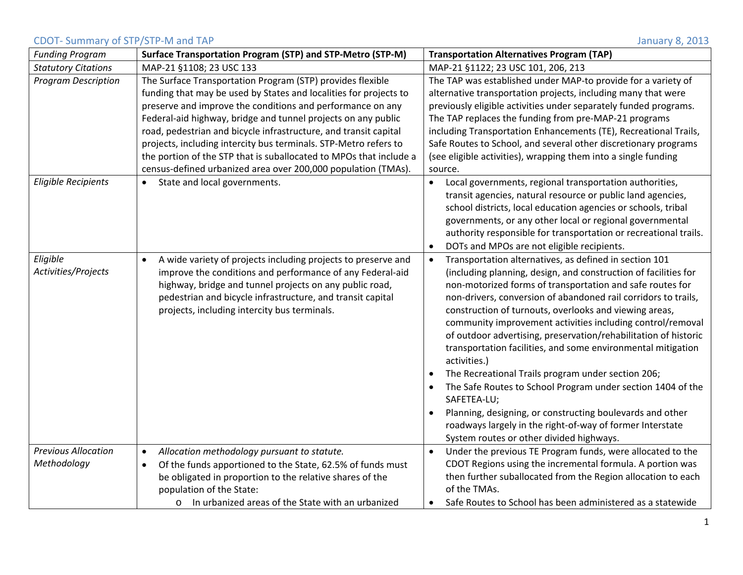## CDOT‐ Summary of STP/STP‐M and TAP January 8, 2013

| <b>Funding Program</b>                    | Surface Transportation Program (STP) and STP-Metro (STP-M)                                                                                                                                                                                                                                                                                                                                                                                                                                                                                    | <b>Transportation Alternatives Program (TAP)</b>                                                                                                                                                                                                                                                                                                                                                                                                                                                                                                                                                                                                                                                                                                                                                                                                                                     |
|-------------------------------------------|-----------------------------------------------------------------------------------------------------------------------------------------------------------------------------------------------------------------------------------------------------------------------------------------------------------------------------------------------------------------------------------------------------------------------------------------------------------------------------------------------------------------------------------------------|--------------------------------------------------------------------------------------------------------------------------------------------------------------------------------------------------------------------------------------------------------------------------------------------------------------------------------------------------------------------------------------------------------------------------------------------------------------------------------------------------------------------------------------------------------------------------------------------------------------------------------------------------------------------------------------------------------------------------------------------------------------------------------------------------------------------------------------------------------------------------------------|
| <b>Statutory Citations</b>                | MAP-21 §1108; 23 USC 133                                                                                                                                                                                                                                                                                                                                                                                                                                                                                                                      | MAP-21 §1122; 23 USC 101, 206, 213                                                                                                                                                                                                                                                                                                                                                                                                                                                                                                                                                                                                                                                                                                                                                                                                                                                   |
| <b>Program Description</b>                | The Surface Transportation Program (STP) provides flexible<br>funding that may be used by States and localities for projects to<br>preserve and improve the conditions and performance on any<br>Federal-aid highway, bridge and tunnel projects on any public<br>road, pedestrian and bicycle infrastructure, and transit capital<br>projects, including intercity bus terminals. STP-Metro refers to<br>the portion of the STP that is suballocated to MPOs that include a<br>census-defined urbanized area over 200,000 population (TMAs). | The TAP was established under MAP-to provide for a variety of<br>alternative transportation projects, including many that were<br>previously eligible activities under separately funded programs.<br>The TAP replaces the funding from pre-MAP-21 programs<br>including Transportation Enhancements (TE), Recreational Trails,<br>Safe Routes to School, and several other discretionary programs<br>(see eligible activities), wrapping them into a single funding<br>source.                                                                                                                                                                                                                                                                                                                                                                                                      |
| <b>Eligible Recipients</b>                | State and local governments.                                                                                                                                                                                                                                                                                                                                                                                                                                                                                                                  | Local governments, regional transportation authorities,<br>transit agencies, natural resource or public land agencies,<br>school districts, local education agencies or schools, tribal<br>governments, or any other local or regional governmental<br>authority responsible for transportation or recreational trails.<br>DOTs and MPOs are not eligible recipients.<br>$\bullet$                                                                                                                                                                                                                                                                                                                                                                                                                                                                                                   |
| Eligible<br>Activities/Projects           | A wide variety of projects including projects to preserve and<br>$\bullet$<br>improve the conditions and performance of any Federal-aid<br>highway, bridge and tunnel projects on any public road,<br>pedestrian and bicycle infrastructure, and transit capital<br>projects, including intercity bus terminals.                                                                                                                                                                                                                              | Transportation alternatives, as defined in section 101<br>$\bullet$<br>(including planning, design, and construction of facilities for<br>non-motorized forms of transportation and safe routes for<br>non-drivers, conversion of abandoned rail corridors to trails,<br>construction of turnouts, overlooks and viewing areas,<br>community improvement activities including control/removal<br>of outdoor advertising, preservation/rehabilitation of historic<br>transportation facilities, and some environmental mitigation<br>activities.)<br>The Recreational Trails program under section 206;<br>$\bullet$<br>The Safe Routes to School Program under section 1404 of the<br>SAFETEA-LU;<br>Planning, designing, or constructing boulevards and other<br>$\bullet$<br>roadways largely in the right-of-way of former Interstate<br>System routes or other divided highways. |
| <b>Previous Allocation</b><br>Methodology | Allocation methodology pursuant to statute.<br>$\bullet$<br>Of the funds apportioned to the State, 62.5% of funds must<br>$\bullet$<br>be obligated in proportion to the relative shares of the<br>population of the State:<br>In urbanized areas of the State with an urbanized<br>$\circ$                                                                                                                                                                                                                                                   | Under the previous TE Program funds, were allocated to the<br>$\bullet$<br>CDOT Regions using the incremental formula. A portion was<br>then further suballocated from the Region allocation to each<br>of the TMAs.<br>Safe Routes to School has been administered as a statewide<br>٠                                                                                                                                                                                                                                                                                                                                                                                                                                                                                                                                                                                              |